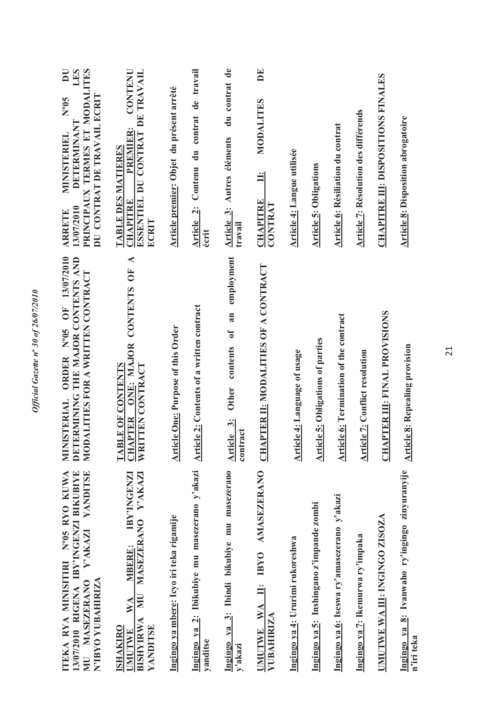| 13/07/2010 RIGENA IBY'INGENZI BIKUBIYE<br>YANDITSE<br>ITEKA RYA MINISITIRI N°05 RYO KUWA<br>Y'AKAZI<br>N'IBYO YUBAHIRIZA<br>MU MASEZERANO | ORDER Nº05 OF 13/07/2010<br>DETERMINING THE MAJOR CONTENTS AND<br>MODALITIES FOR A WRITTEN CONTRACT<br><b>ISTERIAL</b><br>MINI | $\overline{\mathbf{D}}$<br>LES<br>PRINCIPAUX TERMES ET MODALITES<br>DU CONTRAT DE TRAVAIL ECRIT<br>$N^{0}$ 05<br><b>DETERMINANT</b><br><b>MINISTERIEL</b><br>13/07/2010<br><b>ARRETE</b> |
|-------------------------------------------------------------------------------------------------------------------------------------------|--------------------------------------------------------------------------------------------------------------------------------|------------------------------------------------------------------------------------------------------------------------------------------------------------------------------------------|
| IBY'INGENZI<br>MASEZERANO Y'AKAZI<br>MBERE:<br>$\sum_{i=1}^{n}$<br>WA<br>BISHYIRWA<br>YANDITSE<br><b>ISHAKIRO</b><br>UMUTWE               | $\blacktriangleleft$<br><b>FO</b><br>ONE: MAJOR CONTENTS<br>WRITTEN CONTRACT<br>TABLE OF CONTENTS<br><b>CHAPTER</b>            | CONTENU<br>ESSENTIEL DU CONTRAT DE TRAVAIL<br><b>PREMIER:</b><br>TABLE DES MATIERES<br><b>CHAPITRE</b><br>ECRIT                                                                          |
| Ingingo ya mbere: Icyo iri teka rigamije                                                                                                  | <b>Article One: Purpose of this Order</b>                                                                                      | Article premier: Objet du présent arrêté                                                                                                                                                 |
| Ingingo ya 2: Ibikubiye mu masezerano y'akazi<br>yanditse                                                                                 | <b>Article 2: Contents of a written contract</b>                                                                               | Contenu du contrat de travail<br>Article 2:<br>écrit                                                                                                                                     |
| Ingingo ya 3: Ibindi bikubiye mu masezerano<br>y'akazi                                                                                    | an employment<br>Other contents of<br>Article 3:<br>contract                                                                   | du contrat de<br>Article 3: Autres éléments<br>travail                                                                                                                                   |
| IBYO AMASEZERANO<br>$\ddot{=}$<br>WA<br><b>YUBAHIRIZA</b><br><b>UMUTWE</b>                                                                | <b>CHAPTER II: MODALITIES OF A CONTRACT</b>                                                                                    | DE<br>MODALITES<br>Ë<br><b>CHAPITRE</b><br>CONTRAT                                                                                                                                       |
| Ingingo ya 4: Ururimi rukoreshwa                                                                                                          | Article 4: Language of usage                                                                                                   | <b>Article 4: Langue utilisée</b>                                                                                                                                                        |
| Ingingo ya 5: Inshingano z'impande zombi                                                                                                  | <b>Article 5: Obligations of parties</b>                                                                                       | <b>Article 5: Obligations</b>                                                                                                                                                            |
| Ingingo ya 6: Iseswa ry'amasezerano y'akazi                                                                                               | <b>Article 6: Termination of the contract</b>                                                                                  | <b>Article 6: Résiliation du contrat</b>                                                                                                                                                 |
| Ingingo ya 7: Ikemurwa ry'impaka                                                                                                          | <b>Article 7: Conflict resolution</b>                                                                                          | Article 7: Résolution des différends                                                                                                                                                     |
| UMUTWE WA III: INGINGO ZISOZA                                                                                                             | <b>CHAPTER III: FINAL PROVISIONS</b>                                                                                           | <b>CHAPITRE III: DISPOSITIONS FINALES</b>                                                                                                                                                |
| Ingingo ya 8: Ivanwaho ry'ingingo zinyuranyije<br>n'iri teka                                                                              | <b>Article 8: Repealing provision</b>                                                                                          | <b>Article 8: Disposition abrogatoire</b>                                                                                                                                                |

Official Gazette nº 30 of 26/07/2010 *Official Gazette n***º** *30 of 26/07/2010*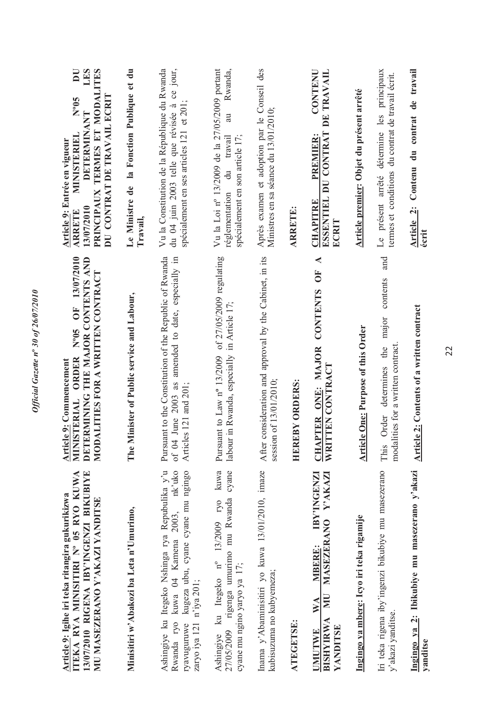| Article 9: Igihe iri teka ritangira gukurikizwa                                                                                                                              | Article 9: Commencement                                                                                                                 | Article 9: Entrée en vigueur                                                                                                                                                |
|------------------------------------------------------------------------------------------------------------------------------------------------------------------------------|-----------------------------------------------------------------------------------------------------------------------------------------|-----------------------------------------------------------------------------------------------------------------------------------------------------------------------------|
| 13/07/2010 RIGENA IBY'INGENZI BIKUBIYE<br>ITEKA RYA MINISITIRI Nº 05 RYO KUWA<br>MU MASEZERANO Y'AKAZI YANDITSE                                                              | N°05 OF 13/07/2010<br>DETERMINING THE MAJOR CONTENTS AND<br>MODALITIES FOR A WRITTEN CONTRACT<br>MINISTERIAL ORDER                      | LES<br>$\overline{\mathbf{D}}$<br>PRINCIPAUX TERMES ET MODALITES<br>DU CONTRAT DE TRAVAIL ECRIT<br>Nº05<br><b>DETERMINANT</b><br>MINISTERIEL<br>13/07/2010<br><b>ARRETE</b> |
| Minisitiri w'Abakozi ba Leta n'Umurimo,                                                                                                                                      | The Minister of Public service and Labour,                                                                                              | la Fonction Publique et du<br>Le Ministre de<br>Travail,                                                                                                                    |
| Ashingiye ku Itegeko Nshinga rya Repubulika y'u<br>kuwa 04 Kamena 2003, nk'uko<br>kugeza ubu, cyane cyane mu ngingo<br>zaryo iya 121 n'iya 201;<br>Rwanda ryo<br>ryavuguruwe | Pursuant to the Constitution of the Republic of Rwanda<br>amended to date, especially in<br>of 04 June 2003 as<br>Articles 121 and 201; | Vu la Constitution de la République du Rwanda<br>du 04 juin 2003 telle que révisée à ce jour,<br>spécialement en ses articles 121 et 201;                                   |
| kuwa<br>27/05/2009 rigenga umurimo mu Rwanda cyane<br>ku Itegeko nº 13/2009 ryo<br>cyane mu ngino yaryo ya 17;<br>Ashingiye                                                  | Pursuant to Law nº 13/2009 of 27/05/2009 regulating<br>labour in Rwanda, especially in Article 17;                                      | Vu la Loi nº 13/2009 de la 27/05/2009 portant<br>Rwanda,<br>au<br>spécialement en son article 17;<br>travail<br>réglementation du                                           |
| Inama y'Abaminisitiri yo kuwa 13/01/2010, imaze<br>kubisuzuma no kubyemeza;                                                                                                  | consideration and approval by the Cabinet, in its<br>on of 13/01/2010;<br>After<br>sessio                                               | Après examen et adoption par le Conseil des<br>Ministres en sa séance du 13/01/2010;                                                                                        |
| <b>ATEGETSE:</b>                                                                                                                                                             | EBY ORDERS:<br><b>HER</b>                                                                                                               | <b>ARRETE:</b>                                                                                                                                                              |
| IBY'INGENZI<br>Y'AKAZI<br>MASEZERANO<br>MBERE:<br>NU<br>$\mathbb{W} \mathbb{A}$<br><b>BISHYIRWA</b><br>YANDITSE<br>UMUTWE                                                    | $\blacktriangleleft$<br>OF <sub></sub><br><b>CONTENTS</b><br>CHAPTER ONE: MAJOR<br>WRITTEN CONTRACT                                     | CONTENU<br>ESSENTIEL DU CONTRAT DE TRAVAIL<br>PREMIER:<br><b>CHAPITRE</b><br>ECRIT                                                                                          |
| Ingingo ya mbere: Icyo iri teka rigamije                                                                                                                                     | <b>Article One: Purpose of this Order</b>                                                                                               | Article premier: Objet du présent arrêté                                                                                                                                    |
| Iri teka rigena iby'ingenzi bikubiye mu masezerano<br>y'akazi yanditse.                                                                                                      | and<br>contents<br>major<br>modalities for a written contract<br>determines the<br>Order<br>This                                        | Le présent arrêté détermine les principaux<br>termes et conditions du contrat de travail écrit.                                                                             |
| Ingingo ya 2: Ibikubiye mu masezerano y'akazi<br>yanditse                                                                                                                    | <b>Article 2: Contents of a written contract</b>                                                                                        | Article 2: Contenu du contrat de travail<br>écrit                                                                                                                           |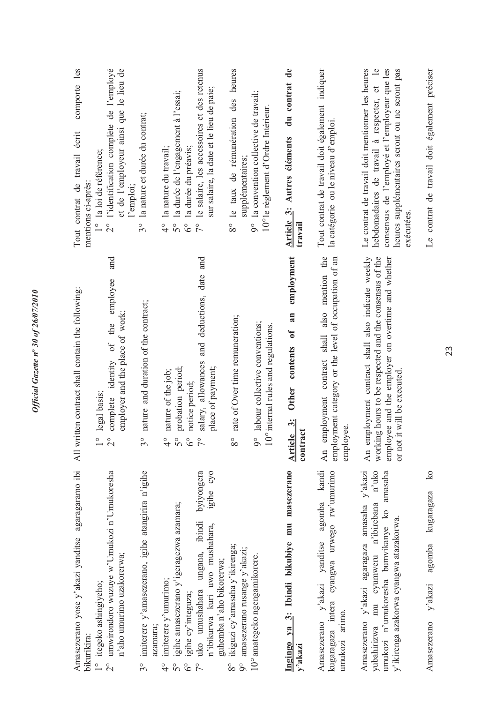| Amasezerano yose y'akazi yanditse agaragaramo ibi<br>bikurikira:                                                                                                                          | All written contract shall contain the following:                                                                                                                                              | comporte les<br>Tout contrat de travail écrit<br>mentions ci-après:                                                                                                                                              |
|-------------------------------------------------------------------------------------------------------------------------------------------------------------------------------------------|------------------------------------------------------------------------------------------------------------------------------------------------------------------------------------------------|------------------------------------------------------------------------------------------------------------------------------------------------------------------------------------------------------------------|
| umwirondoro wuzuye w'Umukozi n'Umukoresha<br>n'aho umurimo uzakorerwa;<br>1° itegeko ashingiyeho;<br>$\stackrel{\circ}{\sim}$                                                             | and<br>employee<br>employer and the place of work;<br>identity of the<br>legal basis;<br>complete<br>O<br>$\overset{\circ}{\sim}$                                                              | 2° l'identification complète de l'employé<br>et de l'employeur ainsi que le lieu de<br>1° la loi de référence;<br>l'emploi;                                                                                      |
| imiterere y'amasezerano, igihe atangirira n'igihe<br>$3^{\circ}$                                                                                                                          | nature and duration of the contract;<br>$3^{\circ}$                                                                                                                                            | la nature et durée du contrat;<br>$3^{\circ}$                                                                                                                                                                    |
| igihe amasezerano y'igeragezwa azamara;<br>$imference$ $y$ 'umurimo;<br>igihe cy'integuza;<br>azamara;<br>$\mathcal{S}^{\circ}$<br>$\delta^{\circ}$<br>$\frac{1}{4}$                      | probation period;<br>nature of the job;<br>notice period;<br>$\frac{1}{4}$<br>$5^{\circ}$                                                                                                      | la durée de l'engagement à l'essai;<br>la nature du travail;<br>la durée du préavis;<br>$\frac{1}{4}$<br>50<br>$6^{\circ}$                                                                                       |
| byiyongera<br>cyo<br>igihe<br>uko umushahara ungana, ibindi<br>n'ibikurwa kuri uwo mushahara,<br>guhemba n'aho bikorerwa;                                                                 | and<br>and deductions, date<br>salary, allowances<br>place of payment;<br>$\circ$<br>$\overline{r}$                                                                                            | le salaire, les accessoires et des retenus<br>sur salaire, la date et le lieu de paie;<br>$\frac{1}{2}$                                                                                                          |
| ikiguzi cy'amasaha y'ikirenga;<br>$9^\circ$ amasezerano rusange y'akazi;<br>$8^{\circ}$                                                                                                   | rate of Over time remuneration;<br>$8^{\circ}$                                                                                                                                                 | 8° le taux de rémunération des heures<br>supplémentaires;                                                                                                                                                        |
| 10° amategeko ngengamikorere.                                                                                                                                                             | 9° labour collective conventions;<br>$10^{\circ}$ internal rules and regulations.                                                                                                              | 9° la convention collective de travail;<br>10° le règlement d'Ordre Intérieur.                                                                                                                                   |
| masezerano<br>Ingingo ya 3: Ibindi bikubiye mu<br>y'akazi                                                                                                                                 | employment<br>an<br>$\mathfrak{h}$<br>Other contents<br>Article 3:<br>ract<br>contr:                                                                                                           | du contrat de<br>Article 3: Autres éléments<br>travail                                                                                                                                                           |
| agomba kandi<br>kugaragaza intera cyangwa urwego rw'umurimo<br>Amasezerano y'akazi yanditse<br>umukozi arimo.                                                                             | employment contract shall also mention the<br>employment category or the level of occupation of an<br>employee.<br>$\overline{\text{An}}$                                                      | Tout contrat de travail doit également indiquer<br>la catégorie ou le niveau d'emploi.                                                                                                                           |
| Amasezerano y'akazi agaragaza amasaha y'akazi<br>n'uko<br>amasaha<br>yubahirizwa mu cyumweru n'ibirebana<br>umukozi n'umukoresha bumvikanye ko<br>y'ikirenga azakorwa cyangwa atazakorwa. | working hours to be respected and the consensus of the<br>An employment contract shall also indicate weekly<br>employee and the employer on overtime and whether<br>or not it will be executed | hebdomadaires de travail à respecter, et le<br>consensus de l'employé et l'employeur que les<br>heures supplémentaires seront ou ne seront pas<br>Le contrat de travail doit mentionner les heures<br>exécutées. |
| $\overline{\mathbf{S}}$<br>kugaragaza<br>agomba<br>y'akazi<br>Amasezerano                                                                                                                 |                                                                                                                                                                                                | Le contrat de travail doit également préciser                                                                                                                                                                    |

 $\overline{\mathbf{S}}$ Amasezerano y'akazi agomba kugaragaza ko kugaragaza agomba Amasezerano y'akazi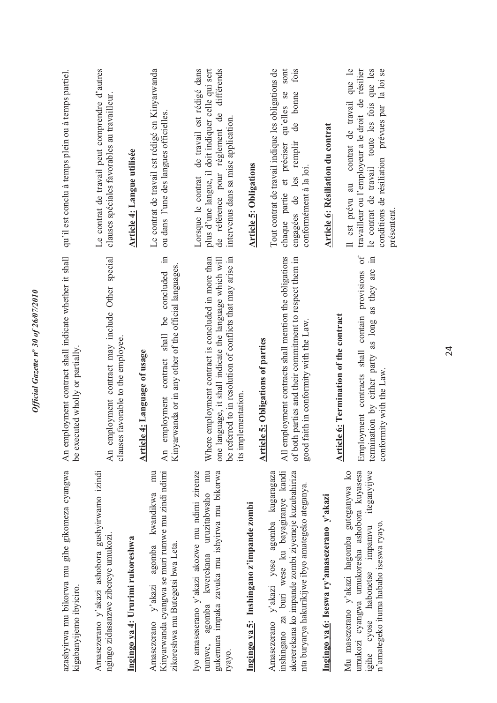| azashyirwa mu bikorwa mu gihe gikomeza cyangwa<br>kigabanyijemo ibyiciro.                                                                                                                             | An employment contract shall indicate whether it shall<br>be executed wholly or partially.                                                                                                                      | qu'il est conclu à temps plein ou à temps partiel.                                                                                                                                                               |
|-------------------------------------------------------------------------------------------------------------------------------------------------------------------------------------------------------|-----------------------------------------------------------------------------------------------------------------------------------------------------------------------------------------------------------------|------------------------------------------------------------------------------------------------------------------------------------------------------------------------------------------------------------------|
| Amasezerano y'akazi ashobora gushyirwamo izindi<br>ngingo zidasanzwe zibereye umukozi<br>Ingingo ya 4: Ururimi rukoreshwa                                                                             | An employment contract may include Other special<br>favorable to the employee.<br>clauses                                                                                                                       | Le contrat de travail peut comprendre d'autres<br>clauses spéciales favorables au travailleur.<br>Article 4: Langue utilisée                                                                                     |
| Kinyarwanda cyangwa se muri rumwe mu zindi ndimi<br>mu<br>agomba kwandikwa<br>zikoreshwa mu Butegetsi bwa Leta.<br>Amasezerano y'akazi                                                                | 且.<br>Kinyarwanda or in any other of the official languages.<br>concluded<br>ತಿ<br>contract shall<br>4: Language of usage<br>An employment<br><b>Article</b>                                                    | Le contrat de travail est rédigé en Kinyarwanda<br>ou dans l'une des langues officielles.                                                                                                                        |
| rumwe, agomba kwerekana uruzitabwaho mu<br>Iyo amaseserano y'akazi akozwe mu ndimi zirenze<br>gukemura impaka zavuka mu ishyirwa mu bikorwa<br>ryayo.                                                 | employment contract is concluded in more than<br>be referred to in resolution of conflicts that may arise in<br>guage, it shall indicate the language which will<br>ementation.<br>Where<br>one lan<br>its impl | Lorsque le contrat de travail est rédigé dans<br>plus d'une langue, il doit indiquer celle qui sert<br>de référence pour règlement de différends<br>intervenus dans sa mise application.                         |
| Ingingo ya 5: Inshingano z'impande zombi                                                                                                                                                              | 5: Obligations of parties<br><b>Article</b>                                                                                                                                                                     | <b>Article 5: Obligations</b>                                                                                                                                                                                    |
| akererekana ko impande zombi zivemeje kuzubahiriza<br>inshingano za buri wese ku bayagiranye kandi<br>Amasezerano y'akazi yose agomba kugaragaza<br>nta buryarya hakurikijwe ibyo amategeko ateganya. | All employment contracts shall mention the obligations<br>of both parties and their commitment to respect them in<br>good faith in conformity with the Law.                                                     | Tout contrat de travail indique les obligations de<br>sont<br>fois<br>qu'elles se<br>bonne<br>de<br>chaque partie et préciser<br>engagées de les remplir<br>conformément à la loi.                               |
| Ingingo ya 6: Iseswa ry'amasezerano y'akazi                                                                                                                                                           |                                                                                                                                                                                                                 | Article 6: Résiliation du contrat                                                                                                                                                                                |
| Mu masezerano y'akazi hagomba guteganywa ko<br>umukozi cyangwa umukoresha ashobora kuyasesa<br>iteganyijwe<br>n'amategeko ituma habaho iseswa ryayo.<br>igihe cyose habonetse impamvu                 | $\sigma$<br>$\Xi$<br>as long as they are<br>contain provisions<br>6: Termination of the contract<br>Employment contracts shall<br>termination by either party<br>conformity with the Law<br><b>Article</b>      | est prévu au contrat de travail que le<br>travailleur ou l'employeur a le droit de résilier<br>toute les fois que les<br>conditions de résiliation prévues par la loi se<br>le contrat de travail<br>présentent. |